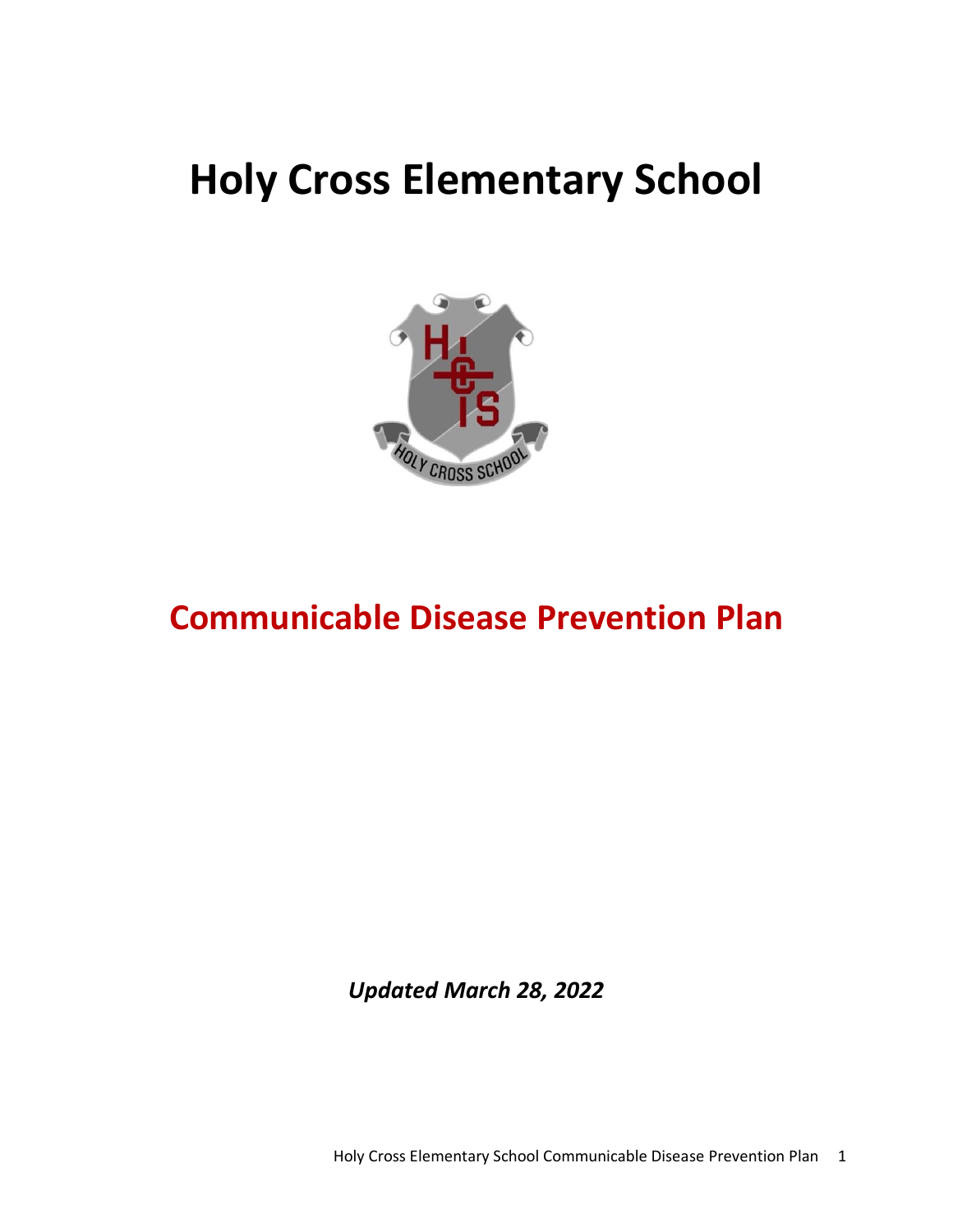# **Holy Cross Elementary School**



# **Communicable Disease Prevention Plan**

*Updated March 28, 2022*

Holy Cross Elementary School Communicable Disease Prevention Plan 1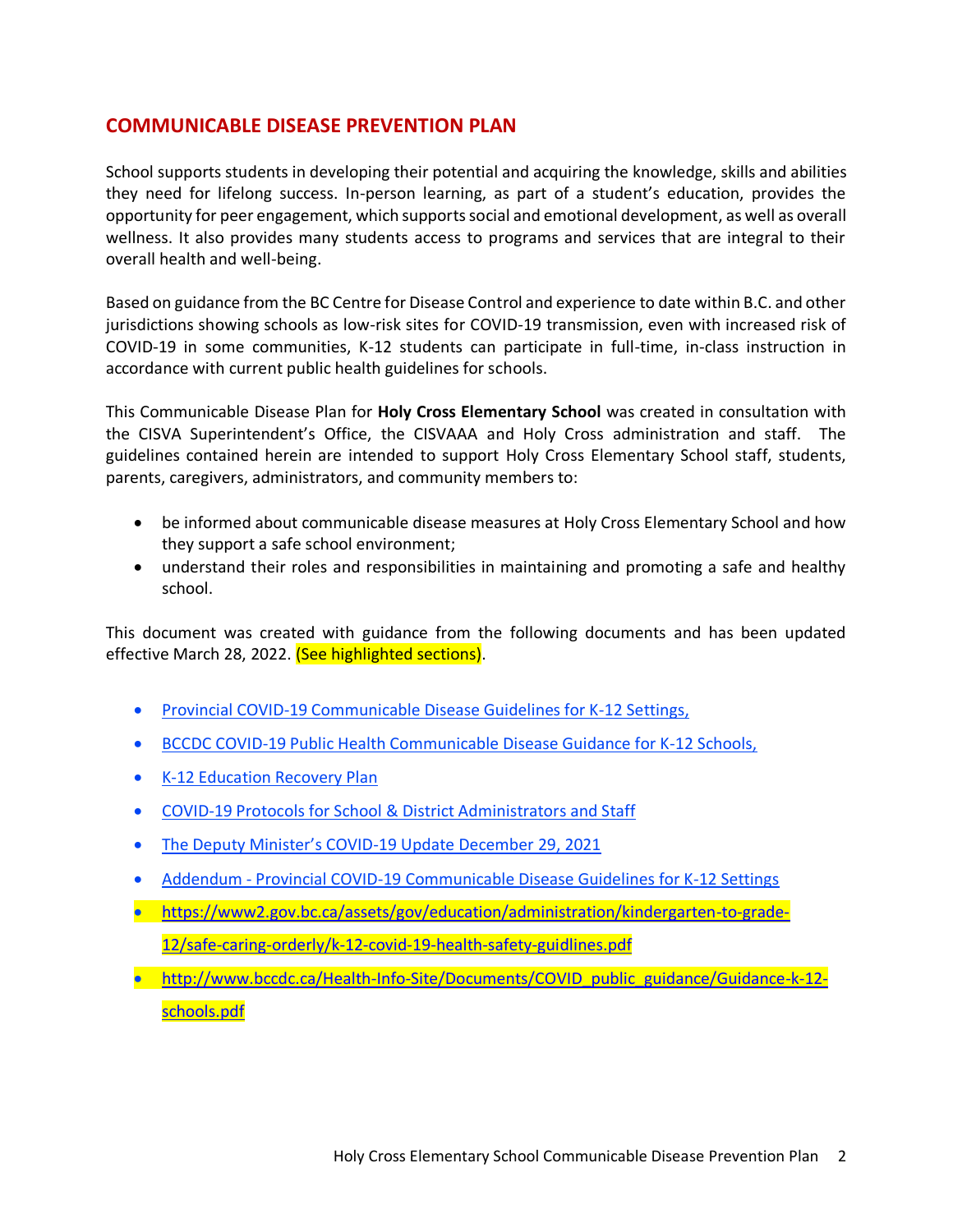### **COMMUNICABLE DISEASE PREVENTION PLAN**

School supports students in developing their potential and acquiring the knowledge, skills and abilities they need for lifelong success. In-person learning, as part of a student's education, provides the opportunity for peer engagement, which supports social and emotional development, as well as overall wellness. It also provides many students access to programs and services that are integral to their overall health and well-being.

Based on guidance from the BC Centre for Disease Control and experience to date within B.C. and other jurisdictions showing schools as low-risk sites for COVID-19 transmission, even with increased risk of COVID-19 in some communities, K-12 students can participate in full-time, in-class instruction in accordance with current public health guidelines for schools.

This Communicable Disease Plan for **Holy Cross Elementary School** was created in consultation with the CISVA Superintendent's Office, the CISVAAA and Holy Cross administration and staff. The guidelines contained herein are intended to support Holy Cross Elementary School staff, students, parents, caregivers, administrators, and community members to:

- be informed about communicable disease measures at Holy Cross Elementary School and how they support a safe school environment;
- understand their roles and responsibilities in maintaining and promoting a safe and healthy school.

This document was created with guidance from the following documents and has been updated effective March 28, 2022. (See highlighted sections).

- Provincial COVID-19 Communicable Disease Guidelines for K-12 Settings,
- BCCDC COVID-19 Public Health Communicable Disease Guidance for K-12 Schools,
- [K-12 Education Recovery Plan](https://www2.gov.bc.ca/assets/gov/education/administration/kindergarten-to-grade-12/safe-caring-orderly/k-12-education-recovery-plan.pdf)
- COVID-19 Protocols for School & District Administrators and Staff
- The Deputy Minister's COVID[-19 Update December 29, 2021](https://view.officeapps.live.com/op/view.aspx?src=http%3A%2F%2Fwww.bced.gov.bc.ca%2Fbulletin%2F20211229%2Fattachment---independent-schools-dm-special-bulletin-dec-29-2021.docx&wdOrigin=BROWSELINK)
- Addendum Provincial COVID-19 Communicable Disease Guidelines for K-12 Settings
- [https://www2.gov.bc.ca/assets/gov/education/administration/kindergarten-to-grade-](https://www2.gov.bc.ca/assets/gov/education/administration/kindergarten-to-grade-12/safe-caring-orderly/k-12-covid-19-health-safety-guidlines.pdf)[12/safe-caring-orderly/k-12-covid-19-health-safety-guidlines.pdf](https://www2.gov.bc.ca/assets/gov/education/administration/kindergarten-to-grade-12/safe-caring-orderly/k-12-covid-19-health-safety-guidlines.pdf)
- http://www.bccdc.ca/Health-Info-Site/Documents/COVID public\_guidance/Guidance-k-12[schools.pdf](http://www.bccdc.ca/Health-Info-Site/Documents/COVID_public_guidance/Guidance-k-12-schools.pdf)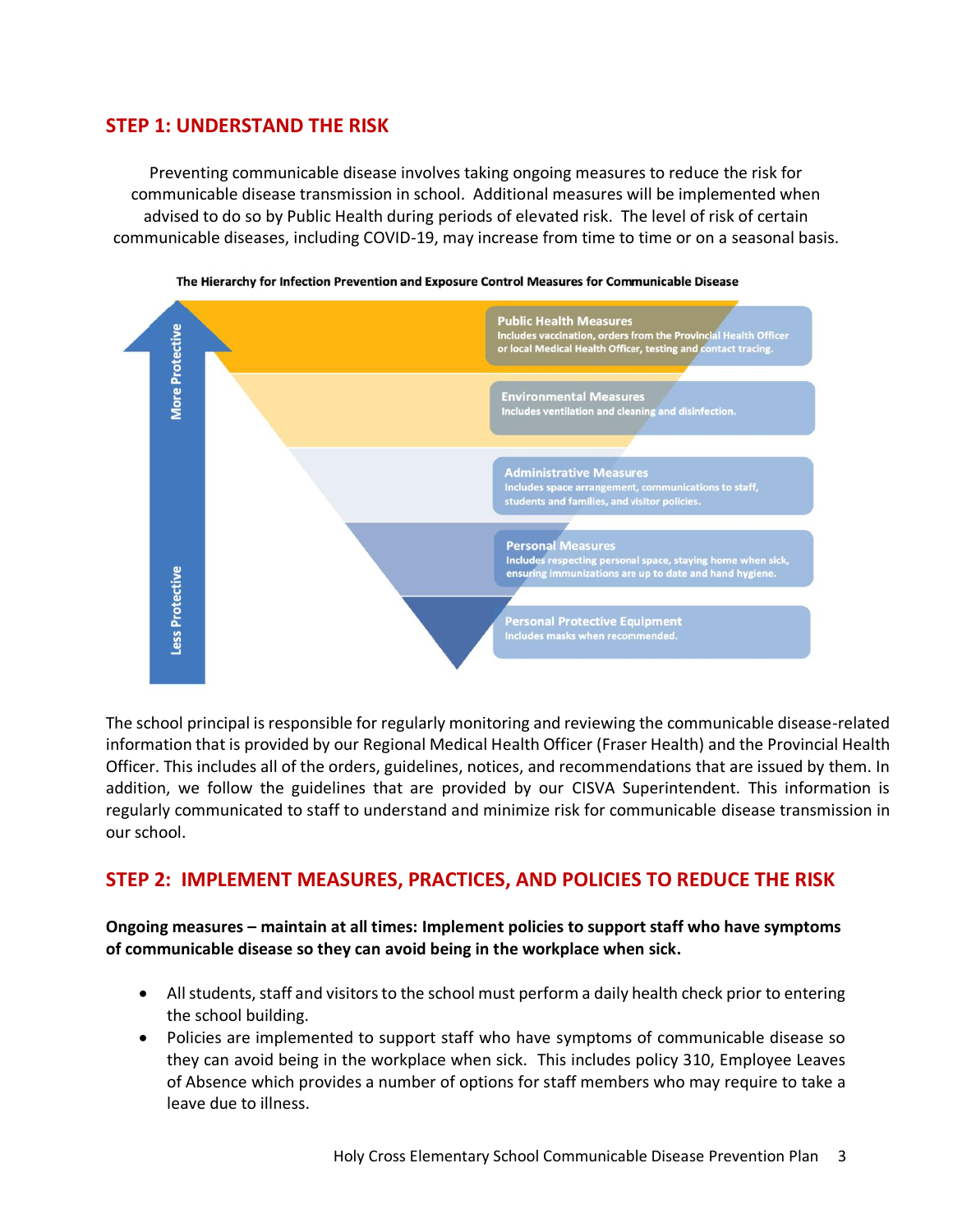# **STEP 1: UNDERSTAND THE RISK**

Preventing communicable disease involves taking ongoing measures to reduce the risk for communicable disease transmission in school. Additional measures will be implemented when advised to do so by Public Health during periods of elevated risk. The level of risk of certain communicable diseases, including COVID-19, may increase from time to time or on a seasonal basis.





The school principal is responsible for regularly monitoring and reviewing the communicable disease-related information that is provided by our Regional Medical Health Officer (Fraser Health) and the Provincial Health Officer. This includes all of the orders, guidelines, notices, and recommendations that are issued by them. In addition, we follow the guidelines that are provided by our CISVA Superintendent. This information is regularly communicated to staff to understand and minimize risk for communicable disease transmission in our school.

# **STEP 2: IMPLEMENT MEASURES, PRACTICES, AND POLICIES TO REDUCE THE RISK**

**Ongoing measures – maintain at all times: Implement policies to support staff who have symptoms of communicable disease so they can avoid being in the workplace when sick.**

- All students, staff and visitors to the school must perform a daily health check prior to entering the school building.
- Policies are implemented to support staff who have symptoms of communicable disease so they can avoid being in the workplace when sick. This includes policy 310, Employee Leaves of Absence which provides a number of options for staff members who may require to take a leave due to illness.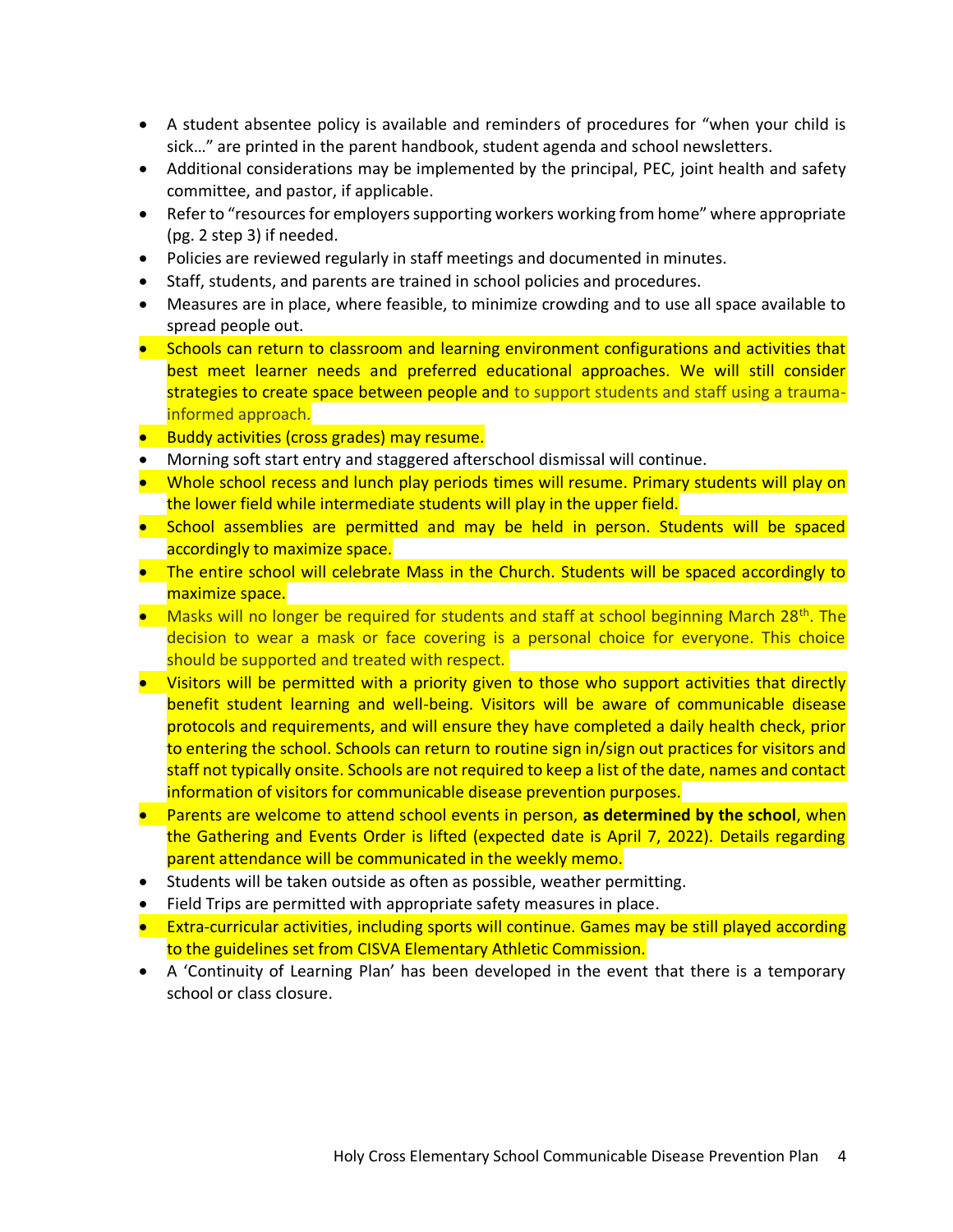- A student absentee policy is available and reminders of procedures for "when your child is sick…" are printed in the parent handbook, student agenda and school newsletters.
- Additional considerations may be implemented by the principal, PEC, joint health and safety committee, and pastor, if applicable.
- Refer to "resources for employers supporting workers working from home" where appropriate (pg. 2 step 3) if needed.
- Policies are reviewed regularly in staff meetings and documented in minutes.
- Staff, students, and parents are trained in school policies and procedures.
- Measures are in place, where feasible, to minimize crowding and to use all space available to spread people out.
- Schools can return to classroom and learning environment configurations and activities that best meet learner needs and preferred educational approaches. We will still consider strategies to create space between people and to support students and staff using a traumainformed approach.
- Buddy activities (cross grades) may resume.
- Morning soft start entry and staggered afterschool dismissal will continue.
- Whole school recess and lunch play periods times will resume. Primary students will play on the lower field while intermediate students will play in the upper field.
- School assemblies are permitted and may be held in person. Students will be spaced accordingly to maximize space.
- The entire school will celebrate Mass in the Church. Students will be spaced accordingly to maximize space.
- Masks will no longer be required for students and staff at school beginning March 28<sup>th</sup>. The decision to wear a mask or face covering is a personal choice for everyone. This choice should be supported and treated with respect.
- Visitors will be permitted with a priority given to those who support activities that directly benefit student learning and well-being. Visitors will be aware of communicable disease protocols and requirements, and will ensure they have completed a daily health check, prior to entering the school. Schools can return to routine sign in/sign out practices for visitors and staff not typically onsite. Schools are not required to keep a list of the date, names and contact information of visitors for communicable disease prevention purposes.
- Parents are welcome to attend school events in person, **as determined by the school**, when the Gathering and Events Order is lifted (expected date is April 7, 2022). Details regarding parent attendance will be communicated in the weekly memo.
- Students will be taken outside as often as possible, weather permitting.
- Field Trips are permitted with appropriate safety measures in place.
- Extra-curricular activities, including sports will continue. Games may be still played according to the guidelines set from CISVA Elementary Athletic Commission.
- A 'Continuity of Learning Plan' has been developed in the event that there is a temporary school or class closure.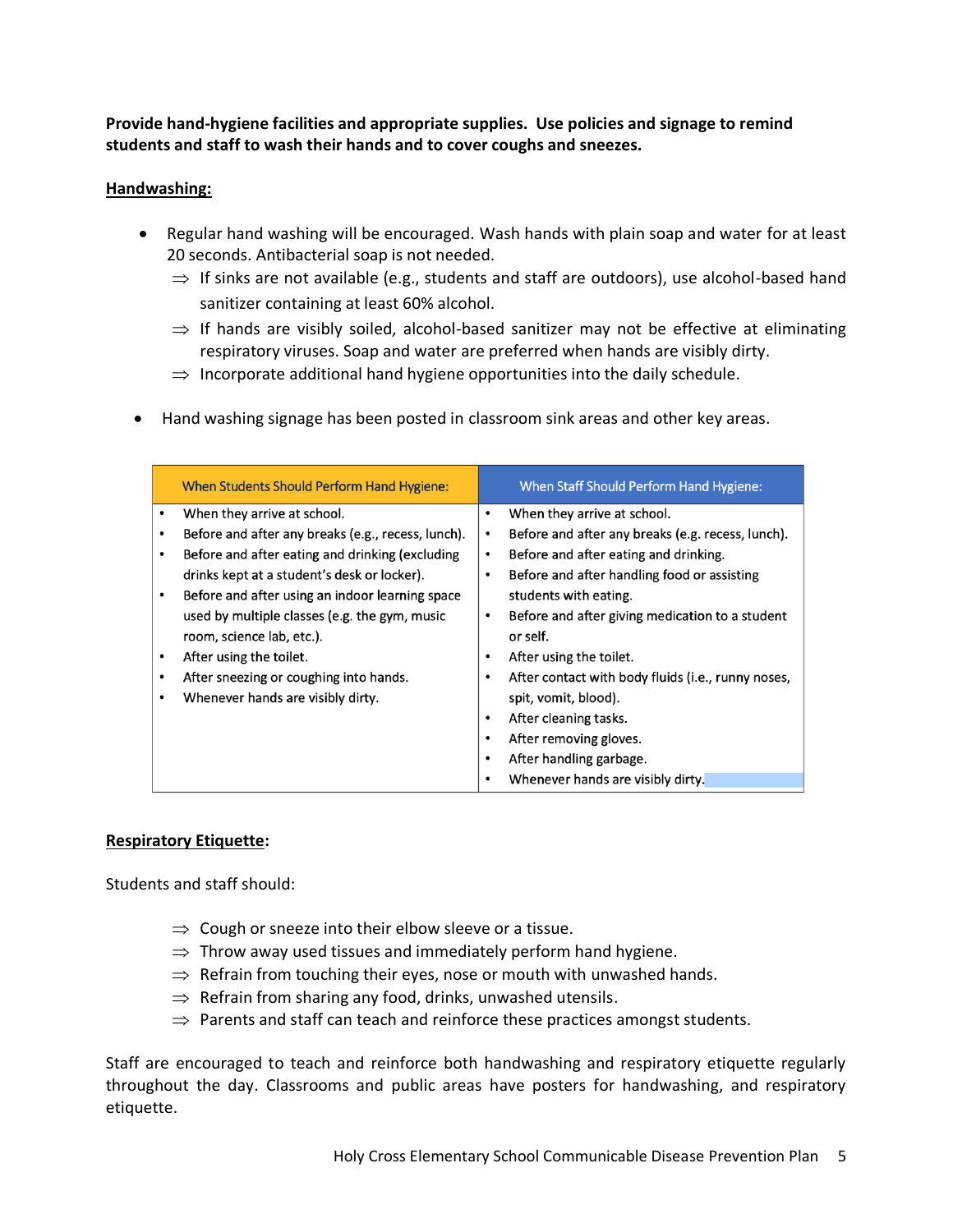**Provide hand-hygiene facilities and appropriate supplies. Use policies and signage to remind students and staff to wash their hands and to cover coughs and sneezes.**

#### **Handwashing:**

- Regular hand washing will be encouraged. Wash hands with plain soap and water for at least 20 seconds. Antibacterial soap is not needed.
	- $\Rightarrow$  If sinks are not available (e.g., students and staff are outdoors), use alcohol-based hand sanitizer containing at least 60% alcohol.
	- $\Rightarrow$  If hands are visibly soiled, alcohol-based sanitizer may not be effective at eliminating respiratory viruses. Soap and water are preferred when hands are visibly dirty.
	- $\Rightarrow$  Incorporate additional hand hygiene opportunities into the daily schedule.
- Hand washing signage has been posted in classroom sink areas and other key areas.

|           | When Students Should Perform Hand Hygiene:         |           | When Staff Should Perform Hand Hygiene:            |
|-----------|----------------------------------------------------|-----------|----------------------------------------------------|
|           | When they arrive at school.                        | $\bullet$ | When they arrive at school.                        |
|           | Before and after any breaks (e.g., recess, lunch). | $\bullet$ | Before and after any breaks (e.g. recess, lunch).  |
| ٠         | Before and after eating and drinking (excluding    | $\bullet$ | Before and after eating and drinking.              |
|           | drinks kept at a student's desk or locker).        | ٠         | Before and after handling food or assisting        |
|           | Before and after using an indoor learning space    |           | students with eating.                              |
|           | used by multiple classes (e.g. the gym, music      | ٠         | Before and after giving medication to a student    |
|           | room, science lab, etc.).                          |           | or self.                                           |
| ٠         | After using the toilet.                            | ٠         | After using the toilet.                            |
| ٠         | After sneezing or coughing into hands.             | $\bullet$ | After contact with body fluids (i.e., runny noses, |
| $\bullet$ | Whenever hands are visibly dirty.                  |           | spit, vomit, blood).                               |
|           |                                                    | $\bullet$ | After cleaning tasks.                              |
|           |                                                    | $\bullet$ | After removing gloves.                             |
|           |                                                    | ٠         | After handling garbage.                            |
|           |                                                    | $\bullet$ | Whenever hands are visibly dirty.                  |

#### **Respiratory Etiquette:**

Students and staff should:

- $\Rightarrow$  Cough or sneeze into their elbow sleeve or a tissue.
- $\Rightarrow$  Throw away used tissues and immediately perform hand hygiene.
- $\Rightarrow$  Refrain from touching their eyes, nose or mouth with unwashed hands.
- $\Rightarrow$  Refrain from sharing any food, drinks, unwashed utensils.
- $\Rightarrow$  Parents and staff can teach and reinforce these practices amongst students.

Staff are encouraged to teach and reinforce both handwashing and respiratory etiquette regularly throughout the day. Classrooms and public areas have posters for handwashing, and respiratory etiquette.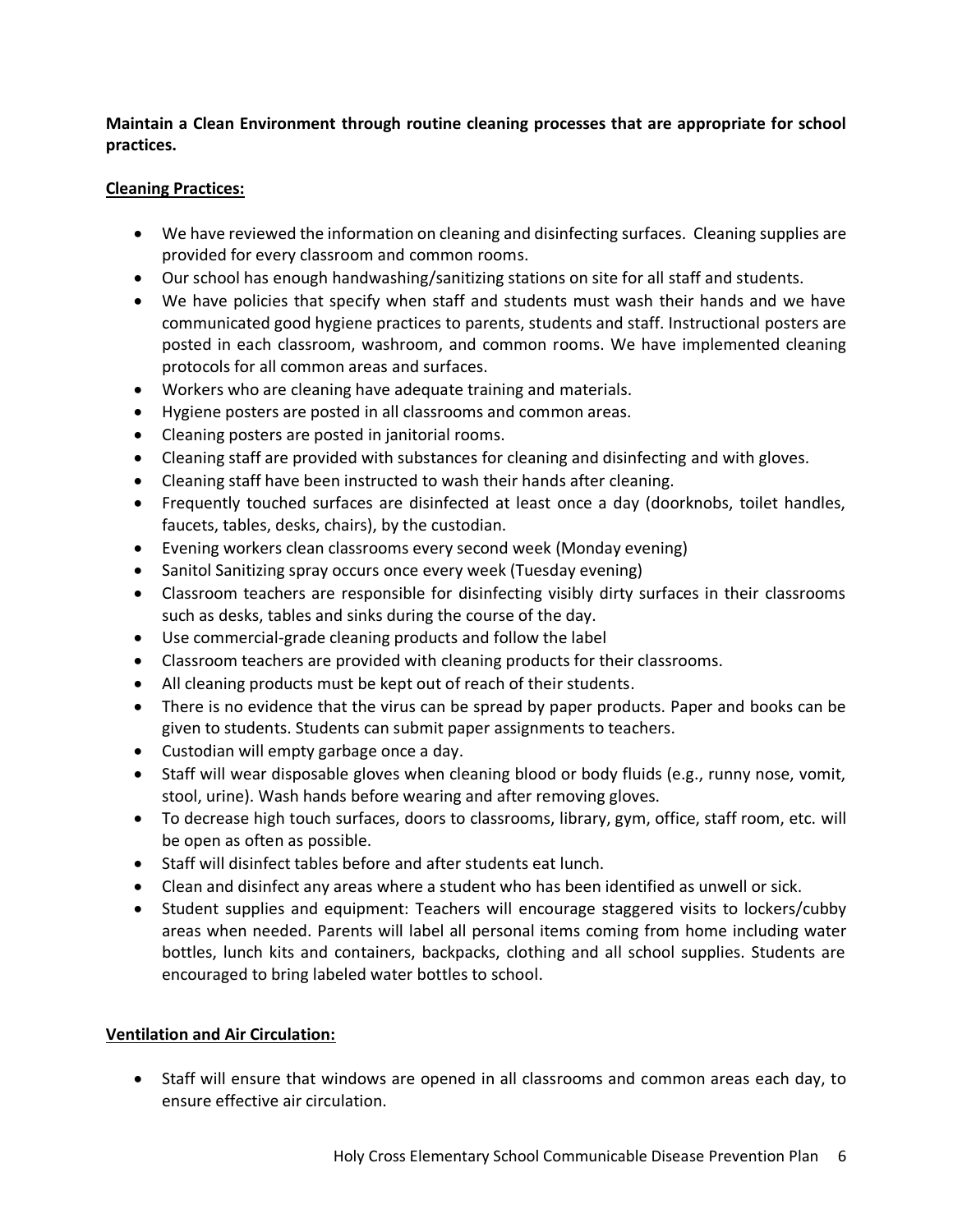**Maintain a Clean Environment through routine cleaning processes that are appropriate for school practices.**

#### **Cleaning Practices:**

- We have reviewed the information on cleaning and disinfecting surfaces. Cleaning supplies are provided for every classroom and common rooms.
- Our school has enough handwashing/sanitizing stations on site for all staff and students.
- We have policies that specify when staff and students must wash their hands and we have communicated good hygiene practices to parents, students and staff. Instructional posters are posted in each classroom, washroom, and common rooms. We have implemented cleaning protocols for all common areas and surfaces.
- Workers who are cleaning have adequate training and materials.
- Hygiene posters are posted in all classrooms and common areas.
- Cleaning posters are posted in janitorial rooms.
- Cleaning staff are provided with substances for cleaning and disinfecting and with gloves.
- Cleaning staff have been instructed to wash their hands after cleaning.
- Frequently touched surfaces are disinfected at least once a day (doorknobs, toilet handles, faucets, tables, desks, chairs), by the custodian.
- Evening workers clean classrooms every second week (Monday evening)
- Sanitol Sanitizing spray occurs once every week (Tuesday evening)
- Classroom teachers are responsible for disinfecting visibly dirty surfaces in their classrooms such as desks, tables and sinks during the course of the day.
- Use commercial-grade cleaning products and follow the label
- Classroom teachers are provided with cleaning products for their classrooms.
- All cleaning products must be kept out of reach of their students.
- There is no evidence that the virus can be spread by paper products. Paper and books can be given to students. Students can submit paper assignments to teachers.
- Custodian will empty garbage once a day.
- Staff will wear disposable gloves when cleaning blood or body fluids (e.g., runny nose, vomit, stool, urine). Wash hands before wearing and after removing gloves.
- To decrease high touch surfaces, doors to classrooms, library, gym, office, staff room, etc. will be open as often as possible.
- Staff will disinfect tables before and after students eat lunch.
- Clean and disinfect any areas where a student who has been identified as unwell or sick.
- Student supplies and equipment: Teachers will encourage staggered visits to lockers/cubby areas when needed. Parents will label all personal items coming from home including water bottles, lunch kits and containers, backpacks, clothing and all school supplies. Students are encouraged to bring labeled water bottles to school.

#### **Ventilation and Air Circulation:**

• Staff will ensure that windows are opened in all classrooms and common areas each day, to ensure effective air circulation.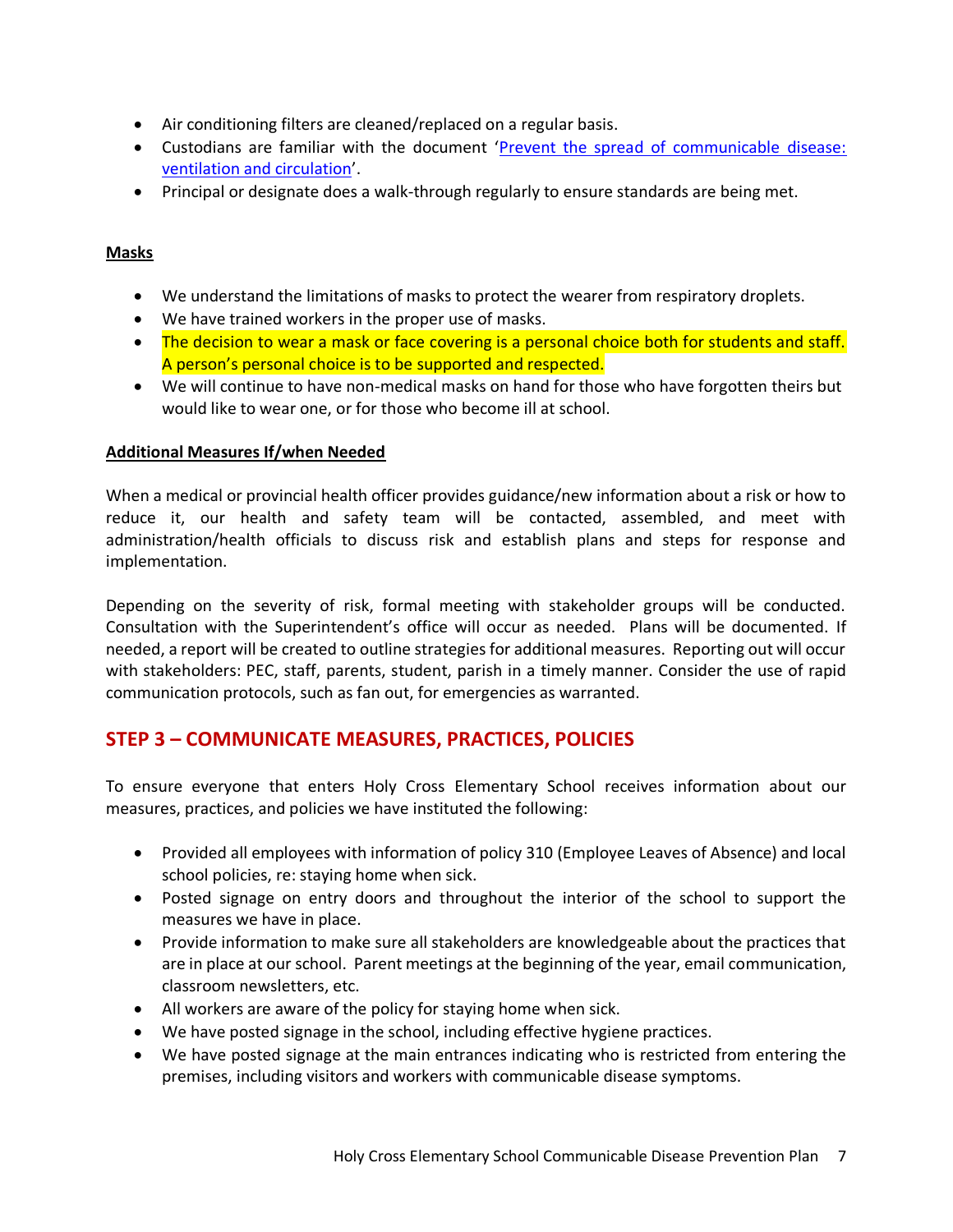- Air conditioning filters are cleaned/replaced on a regular basis.
- Custodians are familiar with the document '[Prevent the spread of communicable disease:](https://www.worksafebc.com/en/resources/health-safety/information-sheets/prevent-spread-communicable-disease-ventilation-air-circulation?lang=en)  [ventilation and circulation](https://www.worksafebc.com/en/resources/health-safety/information-sheets/prevent-spread-communicable-disease-ventilation-air-circulation?lang=en)'.
- Principal or designate does a walk-through regularly to ensure standards are being met.

#### **Masks**

- We understand the limitations of masks to protect the wearer from respiratory droplets.
- We have trained workers in the proper use of masks.
- The decision to wear a mask or face covering is a personal choice both for students and staff. A person's personal choice is to be supported and respected.
- We will continue to have non-medical masks on hand for those who have forgotten theirs but would like to wear one, or for those who become ill at school.

#### **Additional Measures If/when Needed**

When a medical or provincial health officer provides guidance/new information about a risk or how to reduce it, our health and safety team will be contacted, assembled, and meet with administration/health officials to discuss risk and establish plans and steps for response and implementation.

Depending on the severity of risk, formal meeting with stakeholder groups will be conducted. Consultation with the Superintendent's office will occur as needed. Plans will be documented. If needed, a report will be created to outline strategies for additional measures. Reporting out will occur with stakeholders: PEC, staff, parents, student, parish in a timely manner. Consider the use of rapid communication protocols, such as fan out, for emergencies as warranted.

# **STEP 3 – COMMUNICATE MEASURES, PRACTICES, POLICIES**

To ensure everyone that enters Holy Cross Elementary School receives information about our measures, practices, and policies we have instituted the following:

- Provided all employees with information of policy 310 (Employee Leaves of Absence) and local school policies, re: staying home when sick.
- Posted signage on entry doors and throughout the interior of the school to support the measures we have in place.
- Provide information to make sure all stakeholders are knowledgeable about the practices that are in place at our school. Parent meetings at the beginning of the year, email communication, classroom newsletters, etc.
- All workers are aware of the policy for staying home when sick.
- We have posted signage in the school, including effective hygiene practices.
- We have posted signage at the main entrances indicating who is restricted from entering the premises, including visitors and workers with communicable disease symptoms.